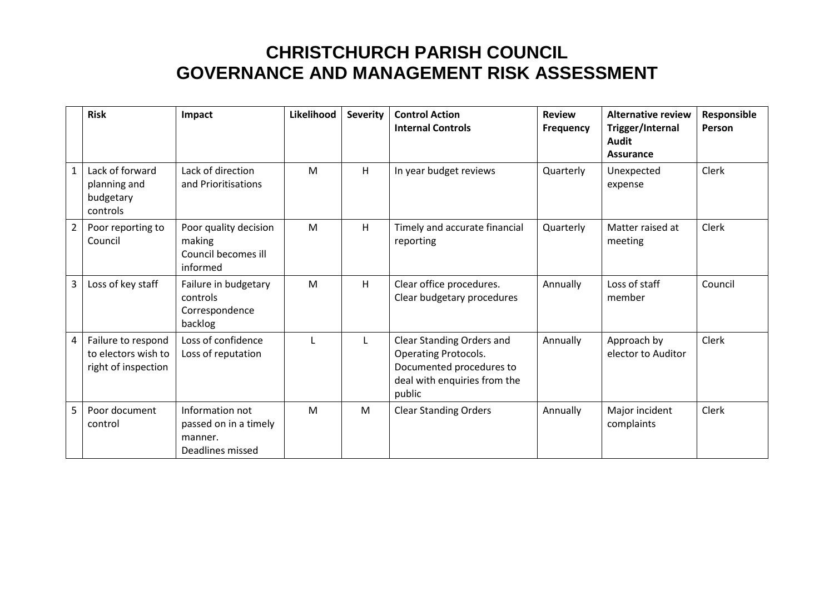|                | <b>Risk</b>                                                      | Impact                                                                  | Likelihood | <b>Severity</b> | <b>Control Action</b><br><b>Internal Controls</b>                                                                              | <b>Review</b><br><b>Frequency</b> | <b>Alternative review</b><br>Trigger/Internal<br>Audit<br>Assurance | Responsible<br>Person |
|----------------|------------------------------------------------------------------|-------------------------------------------------------------------------|------------|-----------------|--------------------------------------------------------------------------------------------------------------------------------|-----------------------------------|---------------------------------------------------------------------|-----------------------|
| $\mathbf{1}$   | Lack of forward<br>planning and<br>budgetary<br>controls         | Lack of direction<br>and Prioritisations                                | M          | H               | In year budget reviews                                                                                                         | Quarterly                         | Unexpected<br>expense                                               | <b>Clerk</b>          |
| $2^{\circ}$    | Poor reporting to<br>Council                                     | Poor quality decision<br>making<br>Council becomes ill<br>informed      | M          | H               | Timely and accurate financial<br>reporting                                                                                     | Quarterly                         | Matter raised at<br>meeting                                         | <b>Clerk</b>          |
| 3              | Loss of key staff                                                | Failure in budgetary<br>controls<br>Correspondence<br>backlog           | M          | H               | Clear office procedures.<br>Clear budgetary procedures                                                                         | Annually                          | Loss of staff<br>member                                             | Council               |
| $\overline{4}$ | Failure to respond<br>to electors wish to<br>right of inspection | Loss of confidence<br>Loss of reputation                                | L          |                 | Clear Standing Orders and<br><b>Operating Protocols.</b><br>Documented procedures to<br>deal with enquiries from the<br>public | Annually                          | Approach by<br>elector to Auditor                                   | <b>Clerk</b>          |
| 5              | Poor document<br>control                                         | Information not<br>passed on in a timely<br>manner.<br>Deadlines missed | M          | M               | <b>Clear Standing Orders</b>                                                                                                   | Annually                          | Major incident<br>complaints                                        | Clerk                 |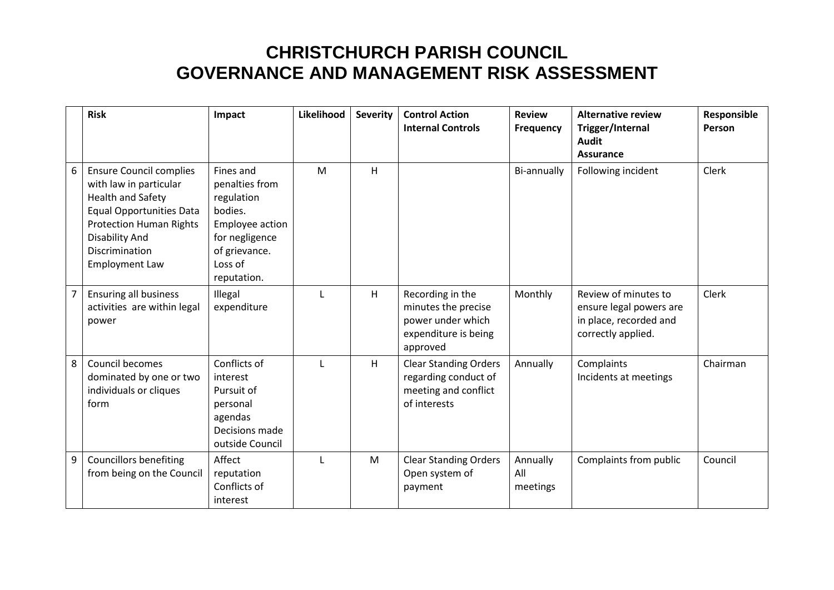|   | <b>Risk</b>                                                                                                                                                                                                                   | Impact                                                                                                                               | Likelihood   | <b>Severity</b> | <b>Control Action</b><br><b>Internal Controls</b>                                                | <b>Review</b><br><b>Frequency</b> | <b>Alternative review</b><br>Trigger/Internal<br><b>Audit</b><br><b>Assurance</b>               | Responsible<br>Person |
|---|-------------------------------------------------------------------------------------------------------------------------------------------------------------------------------------------------------------------------------|--------------------------------------------------------------------------------------------------------------------------------------|--------------|-----------------|--------------------------------------------------------------------------------------------------|-----------------------------------|-------------------------------------------------------------------------------------------------|-----------------------|
| 6 | <b>Ensure Council complies</b><br>with law in particular<br><b>Health and Safety</b><br><b>Equal Opportunities Data</b><br><b>Protection Human Rights</b><br><b>Disability And</b><br>Discrimination<br><b>Employment Law</b> | Fines and<br>penalties from<br>regulation<br>bodies.<br>Employee action<br>for negligence<br>of grievance.<br>Loss of<br>reputation. | M            | H               |                                                                                                  | Bi-annually                       | Following incident                                                                              | Clerk                 |
|   | Ensuring all business<br>activities are within legal<br>power                                                                                                                                                                 | Illegal<br>expenditure                                                                                                               | $\mathbf{I}$ | H               | Recording in the<br>minutes the precise<br>power under which<br>expenditure is being<br>approved | Monthly                           | Review of minutes to<br>ensure legal powers are<br>in place, recorded and<br>correctly applied. | Clerk                 |
| 8 | Council becomes<br>dominated by one or two<br>individuals or cliques<br>form                                                                                                                                                  | Conflicts of<br>interest<br>Pursuit of<br>personal<br>agendas<br>Decisions made<br>outside Council                                   | L            | H               | <b>Clear Standing Orders</b><br>regarding conduct of<br>meeting and conflict<br>of interests     | Annually                          | Complaints<br>Incidents at meetings                                                             | Chairman              |
| 9 | <b>Councillors benefiting</b><br>from being on the Council                                                                                                                                                                    | Affect<br>reputation<br>Conflicts of<br>interest                                                                                     | $\mathsf{L}$ | M               | <b>Clear Standing Orders</b><br>Open system of<br>payment                                        | Annually<br>All<br>meetings       | Complaints from public                                                                          | Council               |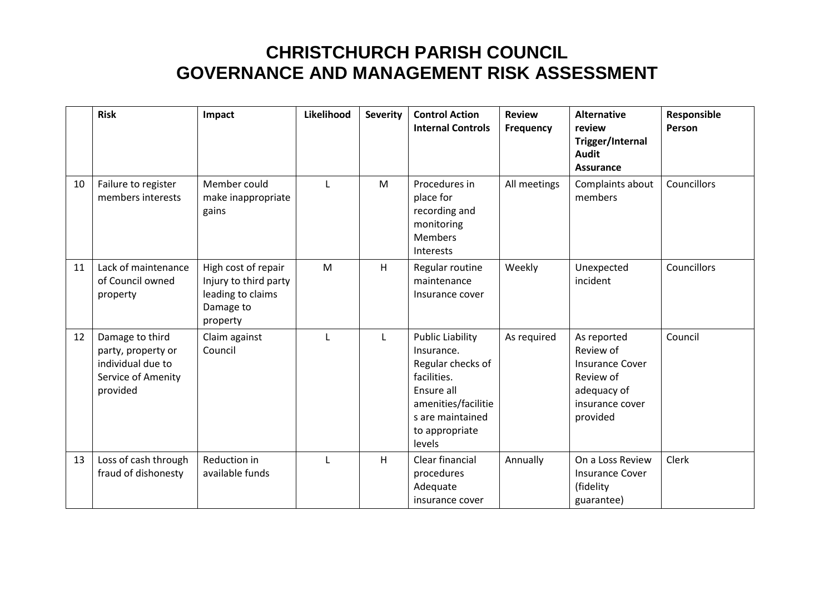|    | <b>Risk</b>                                                                                  | Impact                                                                                     | Likelihood | <b>Severity</b> | <b>Control Action</b><br><b>Internal Controls</b>                                                                                                              | <b>Review</b><br>Frequency | <b>Alternative</b><br>review<br>Trigger/Internal<br><b>Audit</b><br><b>Assurance</b>                          | Responsible<br>Person |
|----|----------------------------------------------------------------------------------------------|--------------------------------------------------------------------------------------------|------------|-----------------|----------------------------------------------------------------------------------------------------------------------------------------------------------------|----------------------------|---------------------------------------------------------------------------------------------------------------|-----------------------|
| 10 | Failure to register<br>members interests                                                     | Member could<br>make inappropriate<br>gains                                                | L          | M               | Procedures in<br>place for<br>recording and<br>monitoring<br><b>Members</b><br>Interests                                                                       | All meetings               | Complaints about<br>members                                                                                   | Councillors           |
| 11 | Lack of maintenance<br>of Council owned<br>property                                          | High cost of repair<br>Injury to third party<br>leading to claims<br>Damage to<br>property | M          | H               | Regular routine<br>maintenance<br>Insurance cover                                                                                                              | Weekly                     | Unexpected<br>incident                                                                                        | Councillors           |
| 12 | Damage to third<br>party, property or<br>individual due to<br>Service of Amenity<br>provided | Claim against<br>Council                                                                   | L          | $\mathsf{L}$    | <b>Public Liability</b><br>Insurance.<br>Regular checks of<br>facilities.<br>Ensure all<br>amenities/facilitie<br>s are maintained<br>to appropriate<br>levels | As required                | As reported<br>Review of<br><b>Insurance Cover</b><br>Review of<br>adequacy of<br>insurance cover<br>provided | Council               |
| 13 | Loss of cash through<br>fraud of dishonesty                                                  | Reduction in<br>available funds                                                            | L          | H               | Clear financial<br>procedures<br>Adequate<br>insurance cover                                                                                                   | Annually                   | On a Loss Review<br><b>Insurance Cover</b><br>(fidelity<br>guarantee)                                         | Clerk                 |